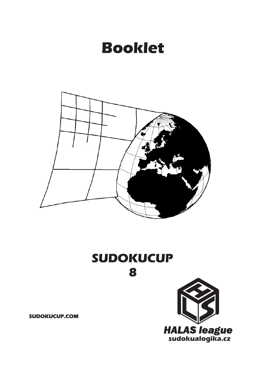## **Booklet**



# **SUDOKUCUP**

**8**

**SUDOKUCUP.COM**

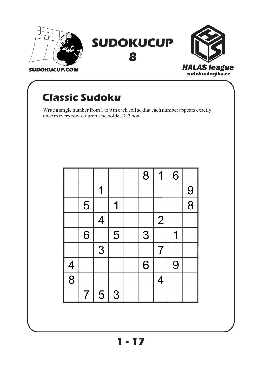



## **Classic Sudoku**

Write a single number from 1 to 9 in each cell so that each number appears exactly once in every row, column, and bolded 3x3 box.

|               |                          |                |   | 8 | 1              | 6 |                |
|---------------|--------------------------|----------------|---|---|----------------|---|----------------|
|               |                          | 1              |   |   |                |   | 9              |
|               | 5                        |                |   |   |                |   | $\overline{8}$ |
|               |                          | $\overline{4}$ |   |   | $\overline{2}$ |   |                |
|               | 6                        |                | 5 | 3 |                | 1 |                |
|               |                          | 3              |   |   | $\overline{7}$ |   |                |
|               |                          |                |   | 6 |                | 9 |                |
| $\frac{4}{8}$ |                          |                |   |   | $\overline{4}$ |   |                |
|               | $\overline{\mathcal{I}}$ | 5              | 3 |   |                |   |                |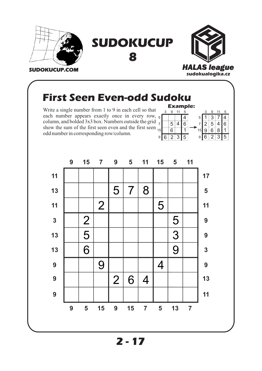

#### **First Seen Even-odd Sudoku**

Write a single number from 1 to 9 in each cell so that each number appears exactly once in every row, column, and bolded 3x3 box. Numbers outside the grid show the sum of the first seen even and the first seen odd number in corresponding row/column.

|   |    |   |                |    |   | <b>Example:</b> |
|---|----|---|----------------|----|---|-----------------|
|   |    | 3 | g              | 11 | 5 |                 |
|   | 5  |   |                |    |   | 5               |
|   |    |   | 5              |    | 6 |                 |
| l | 15 |   | 6              |    |   | ŗ               |
|   | 9  | հ | $\overline{2}$ | 3  | 5 | 9               |
|   |    |   |                |    |   |                 |

 $\overline{2}$  3

 $\overline{6}$ 

 $5 \mid 4 \mid 6$ 

 $3 \overline{7}$  4

9 11 5

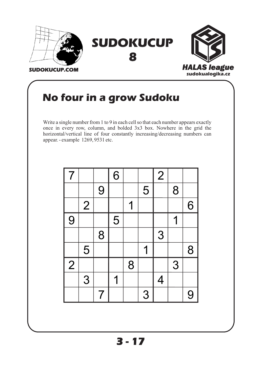

### **No four in a grow Sudoku**

Write a single number from 1 to 9 in each cell so that each number appears exactly once in every row, column, and bolded 3x3 box. Nowhere in the grid the horizontal/vertical line of four constantly increasing/decreasing numbers can appear. - example 1269, 9531 etc.

| $\overline{7}$ |   |                | 6 |   |   | $\overline{2}$ |   |   |
|----------------|---|----------------|---|---|---|----------------|---|---|
|                |   | 9              |   |   | 5 |                | 8 |   |
|                | 2 |                |   | 1 |   |                |   | 6 |
| 9              |   |                | 5 |   |   |                | 1 |   |
|                |   | 8              |   |   |   | 3              |   |   |
|                | 5 |                |   |   | 1 |                |   | 8 |
| $\overline{2}$ |   |                |   | 8 |   |                | 3 |   |
|                | 3 |                | 1 |   |   | $\overline{4}$ |   |   |
|                |   | $\overline{7}$ |   |   | 3 |                |   | 9 |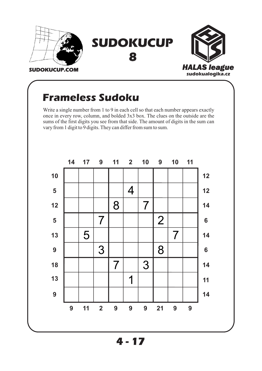

#### **Frameless Sudoku**

Write a single number from 1 to 9 in each cell so that each number appears exactly once in every row, column, and bolded 3x3 box. The clues on the outside are the sums of the first digits you see from that side. The amount of digits in the sum can vary from 1 digit to 9 digits. They can differ from sum to sum.

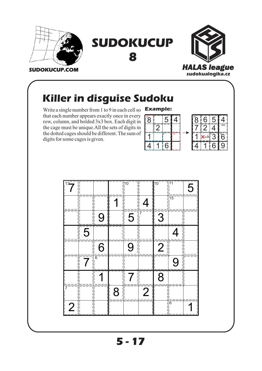





### **Killer in disguise Sudoku**

Write a single number from 1 to 9 in each cell so **Example:** that each number appears exactly once in every row, column, and bolded 3x3 box. Each digit in the cage must be unique.All the sets of digits in the dotted cages should be different. The sum of digits for some cages is given.

| 8 | 5 |   |  |
|---|---|---|--|
|   |   |   |  |
|   |   | д |  |
|   | 6 |   |  |



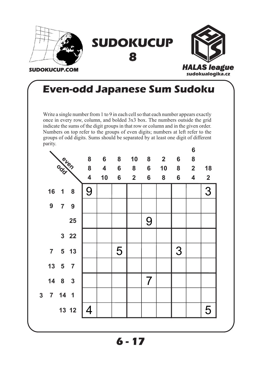

#### **Even-odd Japanese Sum Sudoku**

Write a single number from 1 to 9 in each cell so that each number appears exactly once in every row, column, and bolded 3x3 box. The numbers outside the grid indicate the sums of the digit groups in that row or column and in the given order. Numbers on top refer to the groups of even digits; numbers at left refer to the groups of odd digits. Sums should be separated by at least one digit of different parity.

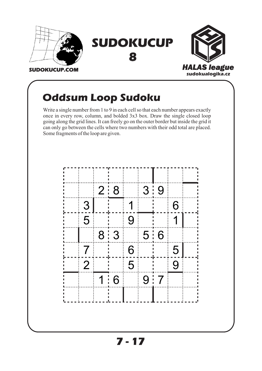

#### **Oddsum Loop Sudoku**

Write a single number from 1 to 9 in each cell so that each number appears exactly once in every row, column, and bolded 3x3 box. Draw the single closed loop going along the grid lines. It can freely go on the outer border but inside the grid it can only go between the cells where two numbers with their odd total are placed. Some fragments of the loop are given.

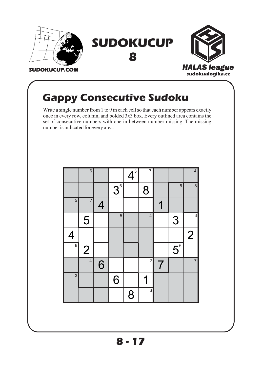

#### **Gappy Consecutive Sudoku**

Write a single number from 1 to 9 in each cell so that each number appears exactly once in every row, column, and bolded 3x3 box. Every outlined area contains the set of consecutive numbers with one in-between number missing. The missing number is indicated for every area.

|                | $6$            |                |                | $\mathbf{A}^{3}$ | $\overline{7}$ |   |                        | $\overline{4}$ |
|----------------|----------------|----------------|----------------|------------------|----------------|---|------------------------|----------------|
|                |                |                | 3 <sup>6</sup> |                  | 8              |   | $\overline{5}$         | $\overline{8}$ |
| $\overline{5}$ | $\overline{7}$ | $\overline{4}$ |                |                  |                |   |                        |                |
|                | 5              |                | $\overline{5}$ |                  | $\overline{4}$ |   | 3                      | $\overline{3}$ |
| $\overline{4}$ |                |                |                |                  |                |   |                        | $\overline{2}$ |
| $\overline{8}$ | $\overline{2}$ |                |                |                  |                |   | $\overline{5}^{\circ}$ |                |
|                | $\overline{4}$ | 6              |                |                  | $\overline{2}$ | 7 |                        | $\overline{7}$ |
| $\overline{3}$ |                |                | 6              |                  |                |   |                        |                |
|                |                |                |                | 8                | $\overline{6}$ |   |                        |                |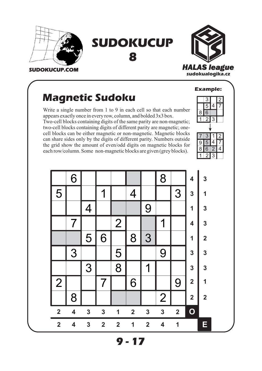



```
8
```


#### **SUDOKUCUP.COM**

#### **Magnetic Sudoku**

Write a single number from 1 to 9 in each cell so that each number appears exactly once in every row, column, and bolded 3x3 box.

Two-cell blocks containing digits of the same parity are non-magnetic; two-cell blocks containing digits of different parity are magnetic; onecell blocks can be either magnetic or non-magnetic. Magnetic blocks can share sides only by the digits of different parity. Numbers outside the grid show the amount of even/odd digits on magnetic blocks for each row/column. Some non-magnetic blocks are given (grey blocks).



|                         | 6                       |              |                |                         |                         |                | 8                       |                         | 4                       | $\mathbf{3}$            |
|-------------------------|-------------------------|--------------|----------------|-------------------------|-------------------------|----------------|-------------------------|-------------------------|-------------------------|-------------------------|
| 5                       |                         |              | 1              |                         | $\overline{4}$          |                |                         | 3                       | $\mathbf{3}$            | 1                       |
|                         |                         | 4            |                |                         |                         | 9              |                         |                         | 1                       | $\mathbf{3}$            |
|                         |                         |              |                | $\overline{2}$          |                         |                | 1                       |                         | 4                       | $\overline{\mathbf{3}}$ |
|                         |                         | 5            | 6              |                         | 8                       | 3              |                         |                         | 1                       | $\overline{\mathbf{2}}$ |
|                         | 3                       |              |                | 5                       |                         |                | 9                       |                         | $\mathbf{3}$            | 3                       |
|                         |                         | 3            |                | 8                       |                         | 1              |                         |                         | $\overline{\mathbf{3}}$ | $\overline{\mathbf{3}}$ |
| $\overline{2}$          |                         |              | 7              |                         | 6                       |                |                         | 9                       | $\overline{\mathbf{2}}$ | 1                       |
|                         | 8                       |              |                |                         |                         |                | $\mathbf{2}$            |                         | $\overline{\mathbf{2}}$ | $\mathbf{2}$            |
| $\overline{2}$          | $\overline{\mathbf{4}}$ | $\mathbf{3}$ | $\mathbf{3}$   | 1                       | $\overline{\mathbf{2}}$ | $\mathbf{3}$   | $\overline{\mathbf{3}}$ | $\overline{\mathbf{2}}$ | $\mathbf O$             |                         |
| $\overline{\mathbf{2}}$ | $\overline{\mathbf{4}}$ | $\mathbf{3}$ | $\overline{2}$ | $\overline{\mathbf{2}}$ | $\overline{\mathbf{1}}$ | $\overline{2}$ | $\overline{\mathbf{4}}$ | 1                       |                         | E                       |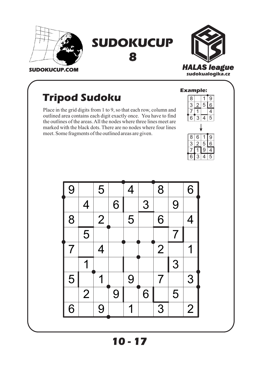



#### **Tripod Sudoku**

Place in the grid digits from 1 to 9, so that each row, column and outlined area contains each digit exactly once. You have to find the outlines of the areas. All the nodes where three lines meet are marked with the black dots. There are no nodes where four lines meet. Some fragments of the outlined areas are given.





**10 - 17 10 -**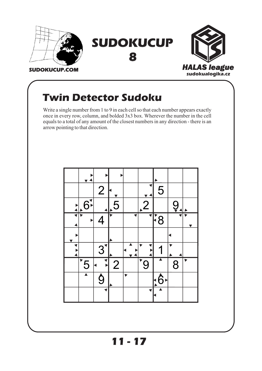

#### **Twin Detector Sudoku**

Write a single number from 1 to 9 in each cell so that each number appears exactly once in every row, column, and bolded 3x3 box. Wherever the number in the cell equals to a total of any amount of the closest numbers in any direction - there is an arrow pointing to that direction.



**11 - 17 11 -**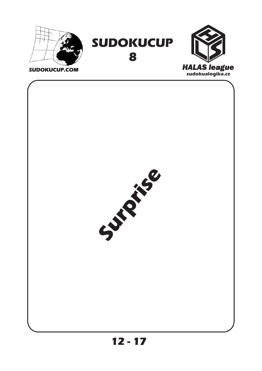







**12 - 17 12 -**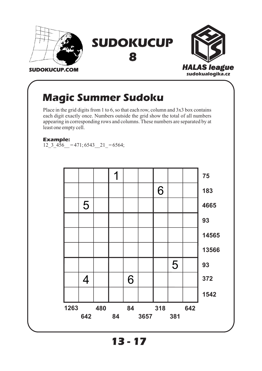

#### **Magic Summer Sudoku**

Place in the grid digits from 1 to 6, so that each row, column and 3x3 box contains each digit exactly once. Numbers outside the grid show the total of all numbers appearing in corresponding rows and columns. These numbers are separated by at least one empty cell.

**Example:**

12\_3\_456 = 471; 6543  $21 = 6564$ ;



**13 - 17 13 -**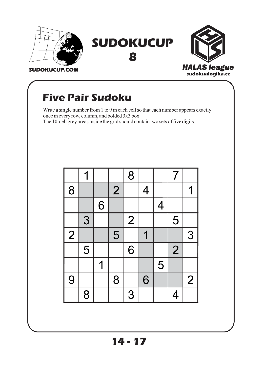



#### **SUDOKUCUP.COM**

#### **Five Pair Sudoku**

Write a single number from 1 to 9 in each cell so that each number appears exactly once in every row, column, and bolded 3x3 box.

The 10-cell grey areas inside the grid should contain two sets of five digits.

|                |   |   |                | 8              |                |                          | $\overline{\mathcal{L}}$ |                |
|----------------|---|---|----------------|----------------|----------------|--------------------------|--------------------------|----------------|
| 8              |   |   | $\overline{2}$ |                | $\overline{4}$ |                          |                          | 1              |
|                |   | 6 |                |                |                | $\overline{\mathcal{A}}$ |                          |                |
|                | 3 |   |                | $\overline{2}$ |                |                          | 5                        |                |
| $\overline{2}$ |   |   | 5              |                |                |                          |                          | 3              |
|                | 5 |   |                | 6              |                |                          | $\overline{2}$           |                |
|                |   | 1 |                |                |                | 5                        |                          |                |
| 9              |   |   | 8              |                | 6              |                          |                          | $\overline{2}$ |
|                | 8 |   |                | 3              |                |                          | 4                        |                |

**14 - 17 14 -**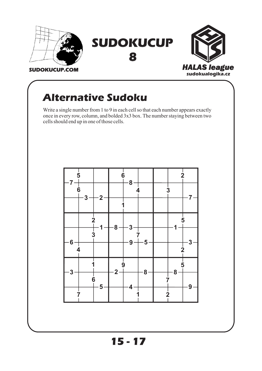

#### **Alternative Sudoku**

Write a single number from 1 to 9 in each cell so that each number appears exactly once in every row, column, and bolded 3x3 box. The number staying between two cells should end up in one of those cells.



**15 - 17 15 -**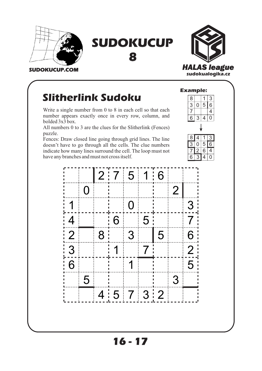

**8**



**SUDOKUCUP.COM**

#### **Slitherlink Sudoku**

Write a single number from 0 to 8 in each cell so that each number appears exactly once in every row, column, and bolded 3x3 box.

All numbers 0 to 3 are the clues for the Slitherlink (Fences) puzzle.

Fences: Draw closed line going through grid lines. The line doesn't have to go through all the cells. The clue numbers indicate how many lines surround the cell. The loop must not have any branches and must not cross itself.



 $2:75116$ 0 2 1 | | | 0 | | | | 3  $4$  6 5 7  $2$  8 3 5 6  $3$  1  $1$  7  $2$ 6 1 1 5 5 3  $4|5|7|3|2$ 

**16 - 17 16 -**